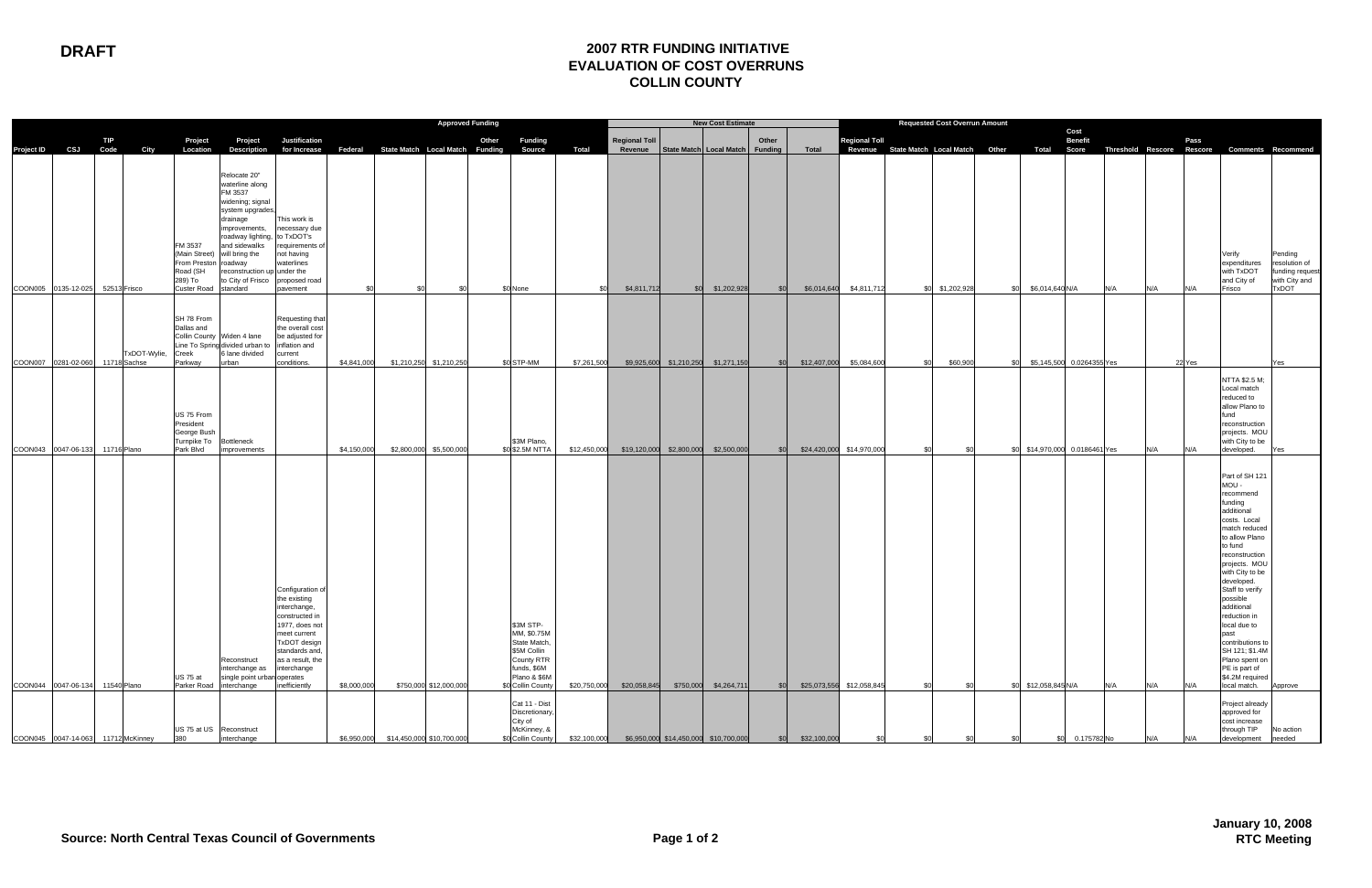## **DRAFT 2007 RTR FUNDING INITIATIVE EVALUATION OF COST OVERRUNS COLLIN COUNTY**

|                                            |     | <b>Approved Funding</b>    |                                                                                |                                                                                                                                                                                                                                          |                                                                                                                                                                                            |                            |                           |                                                      | <b>New Cost Estimate</b>                                                                                                                     |                              |                      | <b>Requested Cost Overrun Amount</b>                          |            |              |                                                        |                                                                             |     |                                                        |                           |     |            |            |                                                                                                                                                                                                                                                                                                                                                                                                               |                                                                       |
|--------------------------------------------|-----|----------------------------|--------------------------------------------------------------------------------|------------------------------------------------------------------------------------------------------------------------------------------------------------------------------------------------------------------------------------------|--------------------------------------------------------------------------------------------------------------------------------------------------------------------------------------------|----------------------------|---------------------------|------------------------------------------------------|----------------------------------------------------------------------------------------------------------------------------------------------|------------------------------|----------------------|---------------------------------------------------------------|------------|--------------|--------------------------------------------------------|-----------------------------------------------------------------------------|-----|--------------------------------------------------------|---------------------------|-----|------------|------------|---------------------------------------------------------------------------------------------------------------------------------------------------------------------------------------------------------------------------------------------------------------------------------------------------------------------------------------------------------------------------------------------------------------|-----------------------------------------------------------------------|
|                                            | TIP |                            | Project                                                                        | Project                                                                                                                                                                                                                                  | Justification                                                                                                                                                                              |                            |                           | Other                                                | Funding                                                                                                                                      |                              | <b>Regional Toll</b> |                                                               | Other      |              | <b>Regional Toll</b>                                   |                                                                             |     |                                                        | Cost<br><b>Benefit</b>    |     |            | Pass       |                                                                                                                                                                                                                                                                                                                                                                                                               |                                                                       |
| Project ID CSJ Code                        |     | City                       | Location                                                                       | <b>Description</b>                                                                                                                                                                                                                       |                                                                                                                                                                                            |                            |                           | for Increase Federal State Match Local Match Funding | Source                                                                                                                                       | <b>Total</b>                 |                      | Revenue   State Match   Local Match   Funding                 |            | Total        |                                                        | Revenue State Match Local Match Other Total Score Threshold Rescore Rescore |     |                                                        |                           |     |            |            | <b>Comments Recommend</b>                                                                                                                                                                                                                                                                                                                                                                                     |                                                                       |
| COON005 0135-12-025                        |     | 52513 Frisco               | FM 3537<br>From Preston roadway<br>Road (SH<br>289) To<br>Custer Road standard | Relocate 20"<br>waterline along<br>FM 3537<br>widening; signal<br>system upgrades<br>drainage<br>improvements,<br>roadway lighting,<br>and sidewalks<br>(Main Street) will bring the<br>reconstruction up under the<br>to City of Frisco | This work is<br>necessary due<br>to TxDOT's<br>requirements o<br>not having<br>waterlines<br>proposed road<br>pavement                                                                     | \$0                        | \$0                       | \$0                                                  | \$0 None                                                                                                                                     |                              | \$4,811,712          | \$0 \$1,202,928                                               | \$0        | \$6,014,640  | \$4,811,712                                            | \$0 \$1,202,928                                                             | \$0 | \$6,014,640 N/A                                        |                           | N/A | N/A        | N/A        | Verify<br>expenditures<br>with TxDOT<br>and City of<br>Frisco                                                                                                                                                                                                                                                                                                                                                 | Pending<br>resolution of<br>funding request<br>with City and<br>TxDOT |
|                                            |     | TxDOT-Wylie,               | SH 78 From<br>Dallas and<br>Creek                                              | Collin County Widen 4 lane<br>Line To Spring divided urban to<br>6 lane divided                                                                                                                                                          | Requesting that<br>the overall cost<br>be adjusted for<br>inflation and<br>current<br>conditions.                                                                                          |                            |                           |                                                      | \$0 STP-MM                                                                                                                                   | \$7,261,500                  |                      |                                                               |            |              |                                                        |                                                                             | ۹Ñ  |                                                        | \$5,145,500 0.0264355 Yes |     |            |            |                                                                                                                                                                                                                                                                                                                                                                                                               |                                                                       |
| COON007 0281-02-060                        |     | 11718 Sachse               | Parkway<br>US 75 From<br>President<br>George Bush<br>Turnpike To Bottleneck    | urban                                                                                                                                                                                                                                    |                                                                                                                                                                                            | \$4,841,000                |                           | \$1,210,250 \$1,210,250                              | \$3M Plano,                                                                                                                                  |                              |                      | \$9,925,600 \$1,210,250 \$1,271,150                           | \$0        | \$12,407,000 | \$5,084,600                                            | \$60,900<br>\$0                                                             |     |                                                        |                           |     |            | 22 Yes     | NTTA \$2.5 M;<br>Local match<br>reduced to<br>allow Plano to<br>fund<br>reconstruction<br>projects. MOU<br>with City to be                                                                                                                                                                                                                                                                                    | Yes                                                                   |
| COON043 0047-06-133<br>COON044 0047-06-134 |     | 11716 Plano<br>11540 Plano | Park Blvd<br><b>US 75 at</b>                                                   | improvements<br>Reconstruct<br>interchange as<br>single point urban operates<br>Parker Road interchange                                                                                                                                  | Configuration of<br>the existing<br>interchange,<br>constructed in<br>1977, does not<br>meet current<br>TxDOT design<br>standards and,<br>as a result, the<br>interchange<br>inefficiently | \$4,150,000<br>\$8,000,000 |                           | \$2,800,000 \$5,500,000<br>\$750,000 \$12,000,000    | \$0 \$2.5M NTTA<br>\$3M STP-<br>MM, \$0.75M<br>State Match,<br>\$5M Collin<br>County RTR<br>funds, \$6M<br>Plano & \$6M<br>\$0 Collin County | \$12,450,000<br>\$20,750,000 | \$20,058,845         | \$19,120,000 \$2,800,000 \$2,500,000<br>\$750,000 \$4,264,711 | \$0<br>\$0 |              | \$24,420,000 \$14,970,000<br>\$25,073,556 \$12,058,845 | \$0<br>\$0<br>\$0<br>\$0                                                    |     | \$0 \$14,970,000 0.0186461 Yes<br>\$0 \$12,058,845 N/A |                           | N/A | N/A<br>N/A | N/A<br>N/A | developed.<br>Part of SH 121<br>MOU-<br>recommend<br>funding<br>additional<br>costs. Local<br>match reduced<br>to allow Plano<br>to fund<br>reconstruction<br>projects. MOU<br>with City to be<br>developed.<br>Staff to verify<br>possible<br>additional<br>reduction in<br>local due to<br>past<br>contributions to<br>SH 121; \$1.4M<br>Plano spent on<br>PE is part of<br>\$4.2M required<br>local match. | ∕es<br>Approve                                                        |
| COON045 0047-14-063                        |     | 11712 McKinney             | 380                                                                            | US 75 at US Reconstruct<br>interchange                                                                                                                                                                                                   |                                                                                                                                                                                            | \$6,950,000                | \$14,450,000 \$10,700,000 |                                                      | Cat 11 - Dist<br>Discretionary,<br>City of<br>McKinney, &<br>\$0 Collin County                                                               | \$32,100,000                 |                      | \$6,950,000 \$14,450,000 \$10,700,000                         | \$0        | \$32,100,000 |                                                        |                                                                             |     |                                                        | 0.175782 No               |     | N/A        | N/A        | Project already<br>approved for<br>cost increase<br>through TIP<br>development                                                                                                                                                                                                                                                                                                                                | No action<br>needed                                                   |